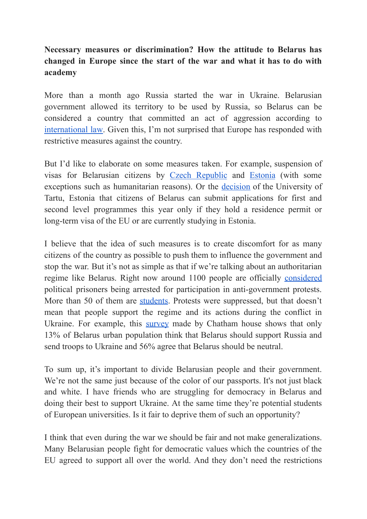## **Necessary measures or discrimination? How the attitude to Belarus has changed in Europe since the start of the war and what it has to do with academy**

More than a month ago Russia started the war in Ukraine. Belarusian government allowed its territory to be used by Russia, so Belarus can be considered a country that committed an act of aggression according to [international](http://hrlibrary.umn.edu/instree/GAres3314.html) law. Given this, I'm not surprised that Europe has responded with restrictive measures against the country.

But I'd like to elaborate on some measures taken. For example, suspension of visas for Belarusian citizens by Czech [Republic](https://www.vlada.cz/cz/media-centrum/aktualne/vlada-kvuli-migracni-krizi-vyhlasila-od-patku-nouzovy-stav--schvalila-i-dalsi-pomoc-pro-ukrajinu-a-navrh-na-zvyseni-vydaju-na-obranu-194695/) and [Estonia](https://www.schengenvisainfo.com/news/estonia-closes-its-visa-centers-in-russia-belarus/) (with some exceptions such as humanitarian reasons). Or the [decision](https://ut.ee/en/ukraine) of the University of Tartu, Estonia that citizens of Belarus can submit applications for first and second level programmes this year only if they hold a residence permit or long-term visa of the EU or are currently studying in Estonia.

I believe that the idea of such measures is to create discomfort for as many citizens of the country as possible to push them to influence the government and stop the war. But it's not as simple as that if we're talking about an authoritarian regime like Belarus. Right now around 1100 people are officially [considered](https://prisoners.spring96.org/en) political prisoners being arrested for participation in anti-government protests. More than 50 of them are [students.](https://telegra.ph/spisok-politzaklyuchennyh-studentov-11-01) Protests were suppressed, but that doesn't mean that people support the regime and its actions during the conflict in Ukraine. For example, this [survey](https://t.me/astapenia/415) made by Chatham house shows that only 13% of Belarus urban population think that Belarus should support Russia and send troops to Ukraine and 56% agree that Belarus should be neutral.

To sum up, it's important to divide Belarusian people and their government. We're not the same just because of the color of our passports. It's not just black and white. I have friends who are struggling for democracy in Belarus and doing their best to support Ukraine. At the same time they're potential students of European universities. Is it fair to deprive them of such an opportunity?

I think that even during the war we should be fair and not make generalizations. Many Belarusian people fight for democratic values which the countries of the EU agreed to support all over the world. And they don't need the restrictions